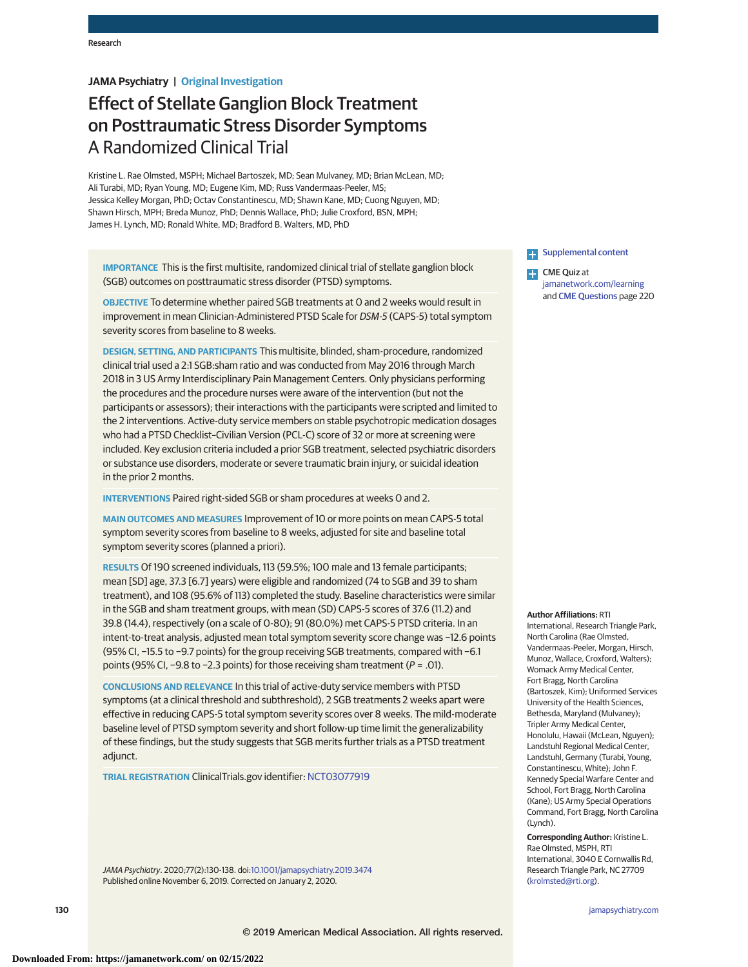# **JAMA Psychiatry | Original Investigation**

# Effect of Stellate Ganglion Block Treatment on Posttraumatic Stress Disorder Symptoms A Randomized Clinical Trial

Kristine L. Rae Olmsted, MSPH; Michael Bartoszek, MD; Sean Mulvaney, MD; Brian McLean, MD; Ali Turabi, MD; Ryan Young, MD; Eugene Kim, MD; Russ Vandermaas-Peeler, MS; Jessica Kelley Morgan, PhD; Octav Constantinescu, MD; Shawn Kane, MD; Cuong Nguyen, MD; Shawn Hirsch, MPH; Breda Munoz, PhD; Dennis Wallace, PhD; Julie Croxford, BSN, MPH; James H. Lynch, MD; Ronald White, MD; Bradford B. Walters, MD, PhD

**IMPORTANCE** This is the first multisite, randomized clinical trial of stellate ganglion block (SGB) outcomes on posttraumatic stress disorder (PTSD) symptoms.

**OBJECTIVE** To determine whether paired SGB treatments at 0 and 2 weeks would result in improvement in mean Clinician-Administered PTSD Scale for DSM-5 (CAPS-5) total symptom severity scores from baseline to 8 weeks.

**DESIGN, SETTING, AND PARTICIPANTS** This multisite, blinded, sham-procedure, randomized clinical trial used a 2:1 SGB:sham ratio and was conducted from May 2016 through March 2018 in 3 US Army Interdisciplinary Pain Management Centers. Only physicians performing the procedures and the procedure nurses were aware of the intervention (but not the participants or assessors); their interactions with the participants were scripted and limited to the 2 interventions. Active-duty service members on stable psychotropic medication dosages who had a PTSD Checklist–Civilian Version (PCL-C) score of 32 or more at screening were included. Key exclusion criteria included a prior SGB treatment, selected psychiatric disorders or substance use disorders, moderate or severe traumatic brain injury, or suicidal ideation in the prior 2 months.

**INTERVENTIONS** Paired right-sided SGB or sham procedures at weeks 0 and 2.

**MAIN OUTCOMES AND MEASURES** Improvement of 10 or more points on mean CAPS-5 total symptom severity scores from baseline to 8 weeks, adjusted for site and baseline total symptom severity scores (planned a priori).

**RESULTS** Of 190 screened individuals, 113 (59.5%; 100 male and 13 female participants; mean [SD] age, 37.3 [6.7] years) were eligible and randomized (74 to SGB and 39 to sham treatment), and 108 (95.6% of 113) completed the study. Baseline characteristics were similar in the SGB and sham treatment groups, with mean (SD) CAPS-5 scores of 37.6 (11.2) and 39.8 (14.4), respectively (on a scale of 0-80); 91 (80.0%) met CAPS-5 PTSD criteria. In an intent-to-treat analysis, adjusted mean total symptom severity score change was −12.6 points (95% CI, −15.5 to −9.7 points) for the group receiving SGB treatments, compared with −6.1 points (95% CI, −9.8 to −2.3 points) for those receiving sham treatment (P = .01).

**CONCLUSIONS AND RELEVANCE** In this trial of active-duty service members with PTSD symptoms (at a clinical threshold and subthreshold), 2 SGB treatments 2 weeks apart were effective in reducing CAPS-5 total symptom severity scores over 8 weeks. The mild-moderate baseline level of PTSD symptom severity and short follow-up time limit the generalizability of these findings, but the study suggests that SGB merits further trials as a PTSD treatment adjunct.

**TRIAL REGISTRATION** ClinicalTrials.gov identifier: [NCT03077919](https://clinicaltrials.gov/ct2/show/NCT03077919)

JAMA Psychiatry. 2020;77(2):130-138. doi[:10.1001/jamapsychiatry.2019.3474](https://jamanetwork.com/journals/jama/fullarticle/10.1001/jamapsychiatry.2019.3474?utm_campaign=articlePDF%26utm_medium=articlePDFlink%26utm_source=articlePDF%26utm_content=jamapsychiatry.2019.3474) Published online November 6, 2019. Corrected on January 2, 2020.

**Examplemental content** 

**CME** Quiz at [jamanetwork.com/learning](https://jama.jamanetwork.com/learning/article-quiz/10.1001/jamapsychiatry.2019.3474/?utm_campaign=articlePDF%26utm_medium=articlePDFlink%26utm_source=articlePDF%26utm_content=jamapsychiatry.2019.3474) and [CME Questions](https://jama.jamanetwork.com/learning/article-quiz/10.1001/jamapsychiatry.2019.3474/?utm_campaign=articlePDF%26utm_medium=articlePDFlink%26utm_source=articlePDF%26utm_content=jamapsychiatry.2019.3474) page 220

#### **Author Affiliations:** RTI

International, Research Triangle Park, North Carolina (Rae Olmsted, Vandermaas-Peeler, Morgan, Hirsch, Munoz, Wallace, Croxford, Walters); Womack Army Medical Center, Fort Bragg, North Carolina (Bartoszek, Kim); Uniformed Services University of the Health Sciences, Bethesda, Maryland (Mulvaney); Tripler Army Medical Center, Honolulu, Hawaii (McLean, Nguyen); Landstuhl Regional Medical Center, Landstuhl, Germany (Turabi, Young, Constantinescu, White); John F. Kennedy Special Warfare Center and School, Fort Bragg, North Carolina (Kane); US Army Special Operations Command, Fort Bragg, North Carolina (Lynch).

**Corresponding Author:** Kristine L. Rae Olmsted, MSPH, RTI International, 3040 E Cornwallis Rd, Research Triangle Park, NC 27709 [\(krolmsted@rti.org\)](mailto:krolmsted@rti.org).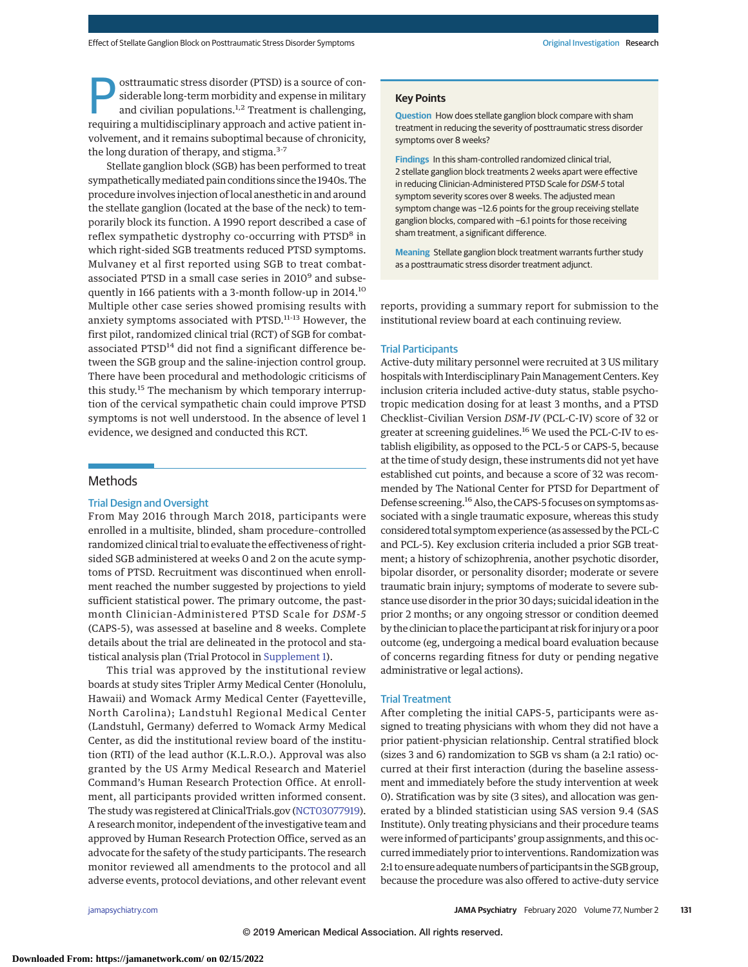**Exercise of con-**<br>
siderable long-term morbidity and expense in military<br>
and civilian populations.<sup>1,2</sup> Treatment is challenging,<br>
requiring a multidisciplinary approach and active patient insiderable long-term morbidity and expense in military requiring a multidisciplinary approach and active patient involvement, and it remains suboptimal because of chronicity, the long duration of therapy, and stigma.<sup>3-7</sup>

Stellate ganglion block (SGB) has been performed to treat sympatheticallymediated pain conditions since the 1940s. The procedure involves injection of local anesthetic in and around the stellate ganglion (located at the base of the neck) to temporarily block its function. A 1990 report described a case of reflex sympathetic dystrophy co-occurring with PTSD<sup>8</sup> in which right-sided SGB treatments reduced PTSD symptoms. Mulvaney et al first reported using SGB to treat combatassociated PTSD in a small case series in 2010<sup>9</sup> and subsequently in 166 patients with a 3-month follow-up in 2014.10 Multiple other case series showed promising results with anxiety symptoms associated with PTSD.<sup>11-13</sup> However, the first pilot, randomized clinical trial (RCT) of SGB for combatassociated PTSD<sup>14</sup> did not find a significant difference between the SGB group and the saline-injection control group. There have been procedural and methodologic criticisms of this study.<sup>15</sup> The mechanism by which temporary interruption of the cervical sympathetic chain could improve PTSD symptoms is not well understood. In the absence of level 1 evidence, we designed and conducted this RCT.

## Methods

# Trial Design and Oversight

From May 2016 through March 2018, participants were enrolled in a multisite, blinded, sham procedure–controlled randomized clinical trial to evaluate the effectiveness of rightsided SGB administered at weeks 0 and 2 on the acute symptoms of PTSD. Recruitment was discontinued when enrollment reached the number suggested by projections to yield sufficient statistical power. The primary outcome, the pastmonth Clinician-Administered PTSD Scale for *DSM-5* (CAPS-5), was assessed at baseline and 8 weeks. Complete details about the trial are delineated in the protocol and statistical analysis plan (Trial Protocol in [Supplement 1\)](https://jamanetwork.com/journals/jama/fullarticle/10.1001/jamapsychiatry.2019.3474?utm_campaign=articlePDF%26utm_medium=articlePDFlink%26utm_source=articlePDF%26utm_content=jamapsychiatry.2019.3474).

This trial was approved by the institutional review boards at study sites Tripler Army Medical Center (Honolulu, Hawaii) and Womack Army Medical Center (Fayetteville, North Carolina); Landstuhl Regional Medical Center (Landstuhl, Germany) deferred to Womack Army Medical Center, as did the institutional review board of the institution (RTI) of the lead author (K.L.R.O.). Approval was also granted by the US Army Medical Research and Materiel Command's Human Research Protection Office. At enrollment, all participants provided written informed consent. The study was registered at ClinicalTrials.gov [\(NCT03077919\)](https://clinicaltrials.gov/ct2/show/NCT03077919). A research monitor, independent of the investigative team and approved by Human Research Protection Office, served as an advocate for the safety of the study participants. The research monitor reviewed all amendments to the protocol and all adverse events, protocol deviations, and other relevant event

## **Key Points**

**Question** How does stellate ganglion block compare with sham treatment in reducing the severity of posttraumatic stress disorder symptoms over 8 weeks?

**Findings** In this sham-controlled randomized clinical trial, 2 stellate ganglion block treatments 2 weeks apart were effective in reducing Clinician-Administered PTSD Scale for DSM-5 total symptom severity scores over 8 weeks. The adjusted mean symptom change was -12.6 points for the group receiving stellate ganglion blocks, compared with −6.1 points for those receiving sham treatment, a significant difference.

**Meaning** Stellate ganglion block treatment warrants further study as a posttraumatic stress disorder treatment adjunct.

reports, providing a summary report for submission to the institutional review board at each continuing review.

# Trial Participants

Active-duty military personnel were recruited at 3 US military hospitals with Interdisciplinary Pain Management Centers. Key inclusion criteria included active-duty status, stable psychotropic medication dosing for at least 3 months, and a PTSD Checklist–Civilian Version *DSM-IV* (PCL-C-IV) score of 32 or greater at screening guidelines.<sup>16</sup> We used the PCL-C-IV to establish eligibility, as opposed to the PCL-5 or CAPS-5, because at the time of study design, these instruments did not yet have established cut points, and because a score of 32 was recommended by The National Center for PTSD for Department of Defense screening.16Also, the CAPS-5 focuses on symptoms associated with a single traumatic exposure, whereas this study considered total symptom experience (as assessed by the PCL-C and PCL-5). Key exclusion criteria included a prior SGB treatment; a history of schizophrenia, another psychotic disorder, bipolar disorder, or personality disorder; moderate or severe traumatic brain injury; symptoms of moderate to severe substance use disorder in the prior 30 days; suicidal ideation in the prior 2 months; or any ongoing stressor or condition deemed by the clinician to place the participant at risk for injury or a poor outcome (eg, undergoing a medical board evaluation because of concerns regarding fitness for duty or pending negative administrative or legal actions).

### Trial Treatment

After completing the initial CAPS-5, participants were assigned to treating physicians with whom they did not have a prior patient-physician relationship. Central stratified block (sizes 3 and 6) randomization to SGB vs sham (a 2:1 ratio) occurred at their first interaction (during the baseline assessment and immediately before the study intervention at week 0). Stratification was by site (3 sites), and allocation was generated by a blinded statistician using SAS version 9.4 (SAS Institute). Only treating physicians and their procedure teams were informed of participants' group assignments, and this occurred immediately prior to interventions. Randomization was 2:1 to ensure adequate numbers of participants in the SGB group, because the procedure was also offered to active-duty service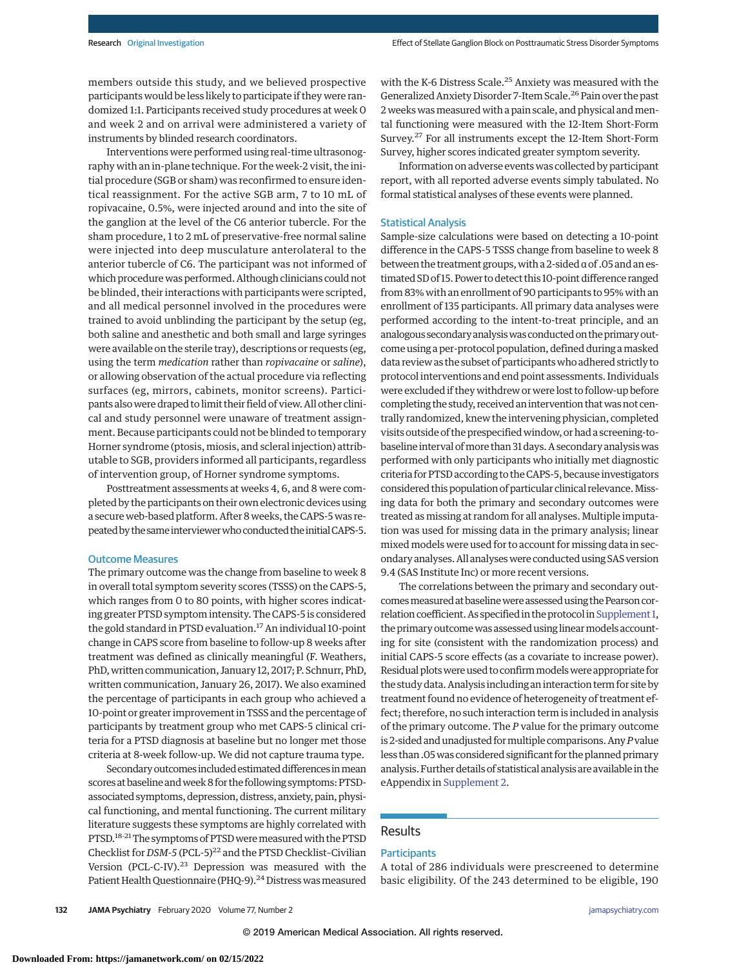members outside this study, and we believed prospective participants would be less likely to participate if they were randomized 1:1. Participants received study procedures at week 0 and week 2 and on arrival were administered a variety of instruments by blinded research coordinators.

Interventions were performed using real-time ultrasonography with an in-plane technique. For the week-2 visit, the initial procedure (SGB or sham) was reconfirmed to ensure identical reassignment. For the active SGB arm, 7 to 10 mL of ropivacaine, 0.5%, were injected around and into the site of the ganglion at the level of the C6 anterior tubercle. For the sham procedure, 1 to 2 mL of preservative-free normal saline were injected into deep musculature anterolateral to the anterior tubercle of C6. The participant was not informed of which procedure was performed. Although clinicians could not be blinded, their interactions with participants were scripted, and all medical personnel involved in the procedures were trained to avoid unblinding the participant by the setup (eg, both saline and anesthetic and both small and large syringes were available on the sterile tray), descriptions or requests (eg, using the term *medication* rather than *ropivacaine* or *saline*), or allowing observation of the actual procedure via reflecting surfaces (eg, mirrors, cabinets, monitor screens). Participants alsowere draped to limit their field of view. All other clinical and study personnel were unaware of treatment assignment. Because participants could not be blinded to temporary Horner syndrome (ptosis, miosis, and scleral injection) attributable to SGB, providers informed all participants, regardless of intervention group, of Horner syndrome symptoms.

Posttreatment assessments at weeks 4, 6, and 8 were completed by the participants on their own electronic devices using a secure web-based platform. After 8 weeks, the CAPS-5 was repeated by the same interviewer who conducted the initial CAPS-5.

#### Outcome Measures

The primary outcome was the change from baseline to week 8 in overall total symptom severity scores (TSSS) on the CAPS-5, which ranges from 0 to 80 points, with higher scores indicating greater PTSD symptom intensity. The CAPS-5 is considered the gold standard in PTSD evaluation.<sup>17</sup> An individual 10-point change in CAPS score from baseline to follow-up 8 weeks after treatment was defined as clinically meaningful (F. Weathers, PhD,written communication, January 12, 2017; P. Schnurr, PhD, written communication, January 26, 2017). We also examined the percentage of participants in each group who achieved a 10-point or greater improvement in TSSS and the percentage of participants by treatment group who met CAPS-5 clinical criteria for a PTSD diagnosis at baseline but no longer met those criteria at 8-week follow-up. We did not capture trauma type.

Secondary outcomes included estimated differences in mean scores at baseline andweek 8 for the following symptoms: PTSDassociated symptoms, depression, distress, anxiety, pain, physical functioning, and mental functioning. The current military literature suggests these symptoms are highly correlated with PTSD.<sup>18-21</sup> The symptoms of PTSD were measured with the PTSD Checklist for *DSM-5* (PCL-5)<sup>22</sup> and the PTSD Checklist-Civilian Version (PCL-C-IV).<sup>23</sup> Depression was measured with the Patient Health Questionnaire (PHQ-9).<sup>24</sup> Distress was measured with the K-6 Distress Scale.<sup>25</sup> Anxiety was measured with the Generalized Anxiety Disorder 7-Item Scale.<sup>26</sup> Pain over the past 2 weeks was measured with a pain scale, and physical and mental functioning were measured with the 12-Item Short-Form Survey.27 For all instruments except the 12-Item Short-Form Survey, higher scores indicated greater symptom severity.

Information on adverse events was collected by participant report, with all reported adverse events simply tabulated. No formal statistical analyses of these events were planned.

### Statistical Analysis

Sample-size calculations were based on detecting a 10-point difference in the CAPS-5 TSSS change from baseline to week 8 between the treatment groups,with a 2-sided α of .05 and an estimated SD of 15. Power to detect this 10-point difference ranged from 83% with an enrollment of 90 participants to 95% with an enrollment of 135 participants. All primary data analyses were performed according to the intent-to-treat principle, and an analogous secondary analysis was conducted on the primary outcome using a per-protocol population, defined during amasked data review as the subset of participants who adhered strictly to protocol interventions and end point assessments. Individuals were excluded if they withdrew or were lost to follow-up before completing the study, received an intervention that was not centrally randomized, knew the intervening physician, completed visits outside of the prespecifiedwindow, or had a screening-tobaseline interval of more than 31 days. A secondary analysis was performed with only participants who initially met diagnostic criteria for PTSD according to the CAPS-5, because investigators considered this population of particular clinical relevance.Missing data for both the primary and secondary outcomes were treated as missing at random for all analyses. Multiple imputation was used for missing data in the primary analysis; linear mixed models were used for to account for missing data in secondary analyses. All analyseswere conducted using SAS version 9.4 (SAS Institute Inc) or more recent versions.

The correlations between the primary and secondary outcomes measured at baseline were assessed using the Pearson correlation coefficient. As specified in the protocol in Supplement 1, the primary outcome was assessed using linear models accounting for site (consistent with the randomization process) and initial CAPS-5 score effects (as a covariate to increase power). Residual plots were used to confirm models were appropriate for the study data. Analysis including an interaction term for site by treatment found no evidence of heterogeneity of treatment effect; therefore, no such interaction term is included in analysis of the primary outcome. The *P* value for the primary outcome is 2-sided and unadjusted formultiple comparisons. Any*P*value less than .05was considered significant for the planned primary analysis. Further details of statistical analysis are available in the eAppendix in [Supplement 2.](https://jamanetwork.com/journals/jama/fullarticle/10.1001/jamapsychiatry.2019.3474?utm_campaign=articlePDF%26utm_medium=articlePDFlink%26utm_source=articlePDF%26utm_content=jamapsychiatry.2019.3474)

# **Results**

# **Participants**

A total of 286 individuals were prescreened to determine basic eligibility. Of the 243 determined to be eligible, 190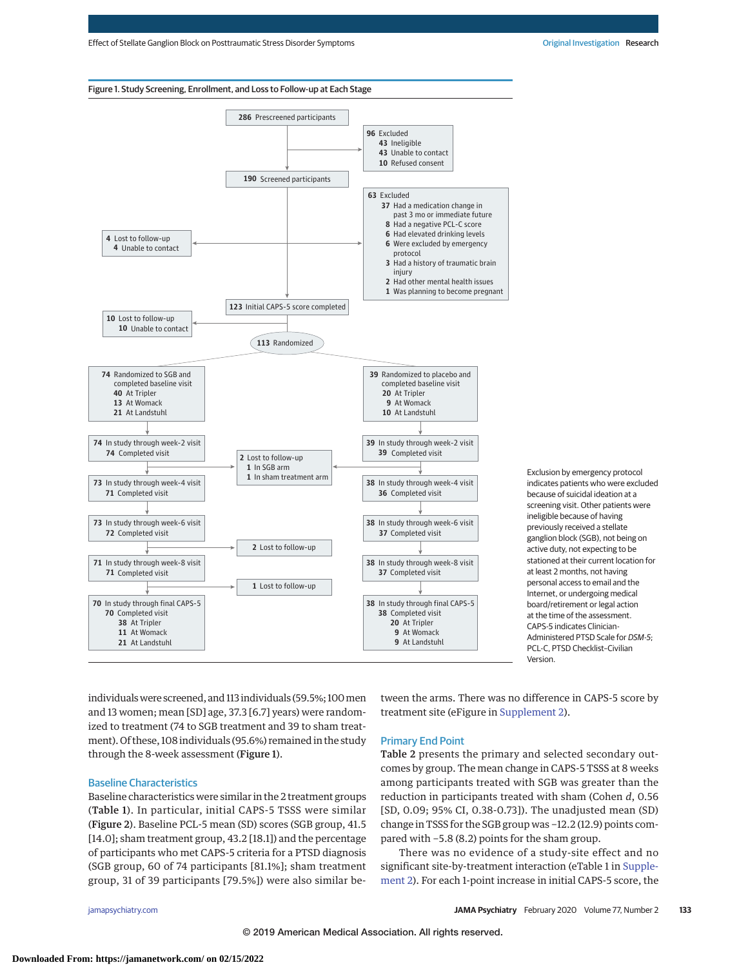

**<sup>1</sup>** Exclusion by emergency protocol indicates patients who were excluded because of suicidal ideation at a screening visit. Other patients were ineligible because of having previously received a stellate ganglion block (SGB), not being on active duty, not expecting to be stationed at their current location for at least 2 months, not having personal access to email and the Internet, or undergoing medical board/retirement or legal action at the time of the assessment. CAPS-5 indicates Clinician-Administered PTSD Scale for DSM-5; PCL-C, PTSD Checklist–Civilian Version.

individuals were screened, and 113 individuals (59.5%; 100 men and 13 women; mean [SD] age, 37.3 [6.7] years) were randomized to treatment (74 to SGB treatment and 39 to sham treatment). Of these, 108 individuals (95.6%) remained in the study through the 8-week assessment (Figure 1).

## Baseline Characteristics

Baseline characteristics were similar in the 2 treatment groups (Table 1). In particular, initial CAPS-5 TSSS were similar (Figure 2). Baseline PCL-5 mean (SD) scores (SGB group, 41.5 [14.0]; sham treatment group, 43.2 [18.1]) and the percentage of participants who met CAPS-5 criteria for a PTSD diagnosis (SGB group, 60 of 74 participants [81.1%]; sham treatment group, 31 of 39 participants [79.5%]) were also similar between the arms. There was no difference in CAPS-5 score by treatment site (eFigure in [Supplement 2\)](https://jamanetwork.com/journals/jama/fullarticle/10.1001/jamapsychiatry.2019.3474?utm_campaign=articlePDF%26utm_medium=articlePDFlink%26utm_source=articlePDF%26utm_content=jamapsychiatry.2019.3474).

## Primary End Point

Table 2 presents the primary and selected secondary outcomes by group. The mean change in CAPS-5 TSSS at 8 weeks among participants treated with SGB was greater than the reduction in participants treated with sham (Cohen *d*, 0.56 [SD, 0.09; 95% CI, 0.38-0.73]). The unadjusted mean (SD) change in TSSS for the SGB group was −12.2 (12.9) points compared with −5.8 (8.2) points for the sham group.

There was no evidence of a study-site effect and no significant site-by-treatment interaction (eTable 1 in [Supple](https://jamanetwork.com/journals/jama/fullarticle/10.1001/jamapsychiatry.2019.3474?utm_campaign=articlePDF%26utm_medium=articlePDFlink%26utm_source=articlePDF%26utm_content=jamapsychiatry.2019.3474)[ment 2\)](https://jamanetwork.com/journals/jama/fullarticle/10.1001/jamapsychiatry.2019.3474?utm_campaign=articlePDF%26utm_medium=articlePDFlink%26utm_source=articlePDF%26utm_content=jamapsychiatry.2019.3474). For each 1-point increase in initial CAPS-5 score, the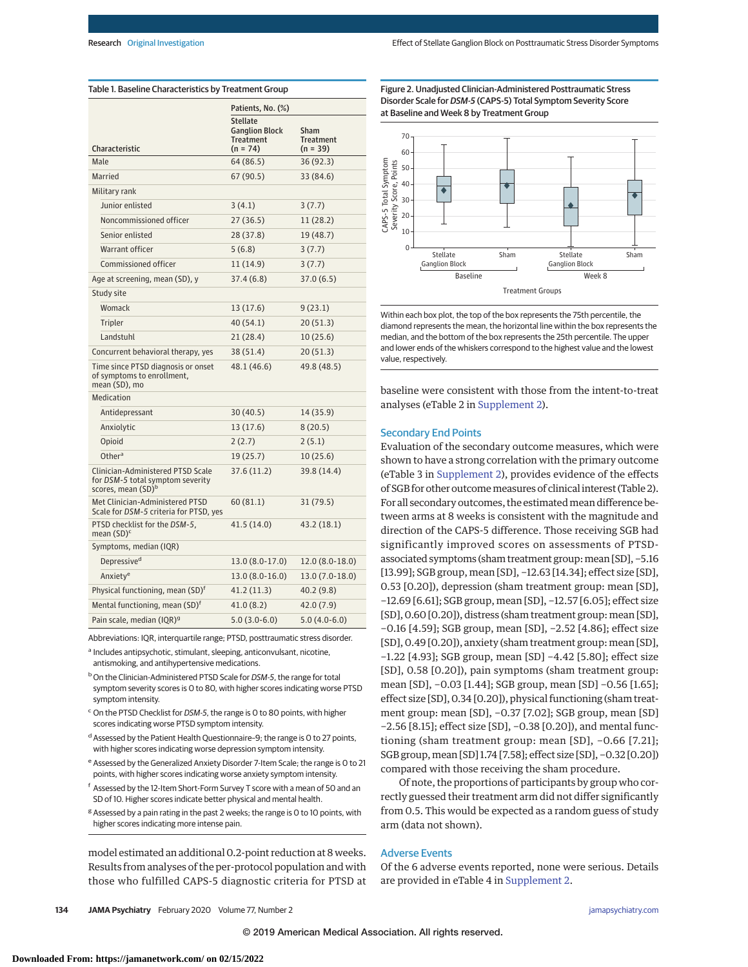|                                                                                                         | Patients, No. (%)                                                          |                                        |  |
|---------------------------------------------------------------------------------------------------------|----------------------------------------------------------------------------|----------------------------------------|--|
| <b>Characteristic</b>                                                                                   | <b>Stellate</b><br><b>Ganglion Block</b><br><b>Treatment</b><br>$(n = 74)$ | Sham<br><b>Treatment</b><br>$(n = 39)$ |  |
| Male                                                                                                    | 64 (86.5)                                                                  | 36 (92.3)                              |  |
| Married                                                                                                 | 67 (90.5)                                                                  | 33 (84.6)                              |  |
| Military rank                                                                                           |                                                                            |                                        |  |
| Junior enlisted                                                                                         | 3(4.1)                                                                     | 3(7.7)                                 |  |
| Noncommissioned officer                                                                                 | 27(36.5)                                                                   | 11(28.2)                               |  |
| Senior enlisted                                                                                         | 28(37.8)                                                                   | 19 (48.7)                              |  |
| Warrant officer                                                                                         | 5(6.8)                                                                     | 3(7.7)                                 |  |
| Commissioned officer                                                                                    | 11 (14.9)                                                                  | 3(7.7)                                 |  |
| Age at screening, mean (SD), y                                                                          | 37.4(6.8)                                                                  | 37.0(6.5)                              |  |
| Study site                                                                                              |                                                                            |                                        |  |
| Womack                                                                                                  | 13 (17.6)                                                                  | 9(23.1)                                |  |
| Tripler                                                                                                 | 40(54.1)                                                                   | 20(51.3)                               |  |
| Landstuhl                                                                                               | 21(28.4)                                                                   | 10(25.6)                               |  |
| Concurrent behavioral therapy, yes                                                                      | 38 (51.4)                                                                  | 20(51.3)                               |  |
| Time since PTSD diagnosis or onset<br>of symptoms to enrollment,<br>mean (SD), mo                       | 48.1 (46.6)                                                                | 49.8 (48.5)                            |  |
| Medication                                                                                              |                                                                            |                                        |  |
| Antidepressant                                                                                          | 30(40.5)                                                                   | 14 (35.9)                              |  |
| Anxiolytic                                                                                              | 13 (17.6)                                                                  | 8(20.5)                                |  |
| Opioid                                                                                                  | 2(2.7)                                                                     | 2(5.1)                                 |  |
| Other <sup>a</sup>                                                                                      | 19 (25.7)                                                                  | 10(25.6)                               |  |
| Clinician-Administered PTSD Scale<br>for DSM-5 total symptom severity<br>scores, mean (SD) <sup>b</sup> | 37.6 (11.2)                                                                | 39.8 (14.4)                            |  |
| Met Clinician-Administered PTSD<br>Scale for DSM-5 criteria for PTSD, yes                               | 60(81.1)                                                                   | 31 (79.5)                              |  |
| PTSD checklist for the DSM-5,<br>mean (SD) <sup>c</sup>                                                 | 41.5 (14.0)                                                                | 43.2 (18.1)                            |  |
| Symptoms, median (IQR)                                                                                  |                                                                            |                                        |  |
| Depressive <sup>d</sup>                                                                                 | 13.0 (8.0-17.0)                                                            | $12.0(8.0-18.0)$                       |  |
| Anxiety <sup>e</sup>                                                                                    | $13.0(8.0-16.0)$                                                           | $13.0(7.0-18.0)$                       |  |
| Physical functioning, mean (SD) <sup>t</sup>                                                            | 41.2 (11.3)                                                                | 40.2 (9.8)                             |  |
| Mental functioning, mean (SD) <sup>t</sup>                                                              | 41.0(8.2)                                                                  | 42.0 (7.9)                             |  |
| Pain scale, median (IQR) <sup>g</sup>                                                                   | $5.0(3.0-6.0)$                                                             | $5.0(4.0-6.0)$                         |  |

Abbreviations: IQR, interquartile range; PTSD, posttraumatic stress disorder.

<sup>a</sup> Includes antipsychotic, stimulant, sleeping, anticonvulsant, nicotine, antismoking, and antihypertensive medications.

- b On the Clinician-Administered PTSD Scale for DSM-5, the range for total symptom severity scores is 0 to 80, with higher scores indicating worse PTSD symptom intensity.
- <sup>c</sup> On the PTSD Checklist for *DSM-5*, the range is 0 to 80 points, with higher scores indicating worse PTSD symptom intensity.
- <sup>d</sup> Assessed by the Patient Health Questionnaire-9; the range is 0 to 27 points, with higher scores indicating worse depression symptom intensity.
- <sup>e</sup> Assessed by the Generalized Anxiety Disorder 7-Item Scale; the range is 0 to 21 points, with higher scores indicating worse anxiety symptom intensity.
- <sup>f</sup> Assessed by the 12-Item Short-Form Survey T score with a mean of 50 and an SD of 10. Higher scores indicate better physical and mental health.
- <sup>g</sup> Assessed by a pain rating in the past 2 weeks; the range is 0 to 10 points, with higher scores indicating more intense pain.

model estimated an additional 0.2-point reduction at 8 weeks. Results from analyses of the per-protocol population and with those who fulfilled CAPS-5 diagnostic criteria for PTSD at

Figure 2. Unadjusted Clinician-Administered Posttraumatic Stress Disorder Scale for DSM-5 (CAPS-5) Total Symptom Severity Score at Baseline and Week 8 by Treatment Group



Within each box plot, the top of the box represents the 75th percentile, the diamond represents the mean, the horizontal line within the box represents the median, and the bottom of the box represents the 25th percentile. The upper and lower ends of the whiskers correspond to the highest value and the lowest value, respectively.

baseline were consistent with those from the intent-to-treat analyses (eTable 2 in [Supplement 2\)](https://jamanetwork.com/journals/jama/fullarticle/10.1001/jamapsychiatry.2019.3474?utm_campaign=articlePDF%26utm_medium=articlePDFlink%26utm_source=articlePDF%26utm_content=jamapsychiatry.2019.3474).

## Secondary End Points

Evaluation of the secondary outcome measures, which were shown to have a strong correlation with the primary outcome (eTable 3 in [Supplement 2\)](https://jamanetwork.com/journals/jama/fullarticle/10.1001/jamapsychiatry.2019.3474?utm_campaign=articlePDF%26utm_medium=articlePDFlink%26utm_source=articlePDF%26utm_content=jamapsychiatry.2019.3474), provides evidence of the effects of SGB for other outcomemeasures of clinical interest (Table 2). For all secondary outcomes, the estimated mean difference between arms at 8 weeks is consistent with the magnitude and direction of the CAPS-5 difference. Those receiving SGB had significantly improved scores on assessments of PTSDassociated symptoms (sham treatment group: mean [SD], -5.16 [13.99]; SGB group, mean [SD], -12.63 [14.34]; effect size [SD], 0.53 [0.20]), depression (sham treatment group: mean [SD], −12.69 [6.61]; SGB group, mean [SD], −12.57 [6.05]; effect size [SD], 0.60 [0.20]), distress (sham treatment group: mean [SD], −0.16 [4.59]; SGB group, mean [SD], −2.52 [4.86]; effect size [SD], 0.49 [0.20]), anxiety (sham treatment group: mean [SD], −1.22 [4.93]; SGB group, mean [SD] −4.42 [5.80]; effect size [SD], 0.58 [0.20]), pain symptoms (sham treatment group: mean [SD], −0.03 [1.44]; SGB group, mean [SD] −0.56 [1.65]; effect size [SD], 0.34 [0.20]), physical functioning (sham treatment group: mean [SD], −0.37 [7.02]; SGB group, mean [SD] −2.56 [8.15]; effect size [SD], −0.38 [0.20]), and mental functioning (sham treatment group: mean [SD], −0.66 [7.21]; SGB group, mean [SD] 1.74 [7.58]; effect size [SD], -0.32 [0.20]) compared with those receiving the sham procedure.

Of note, the proportions of participants by group who correctly guessed their treatment arm did not differ significantly from 0.5. This would be expected as a random guess of study arm (data not shown).

# Adverse Events

Of the 6 adverse events reported, none were serious. Details are provided in eTable 4 in [Supplement 2.](https://jamanetwork.com/journals/jama/fullarticle/10.1001/jamapsychiatry.2019.3474?utm_campaign=articlePDF%26utm_medium=articlePDFlink%26utm_source=articlePDF%26utm_content=jamapsychiatry.2019.3474)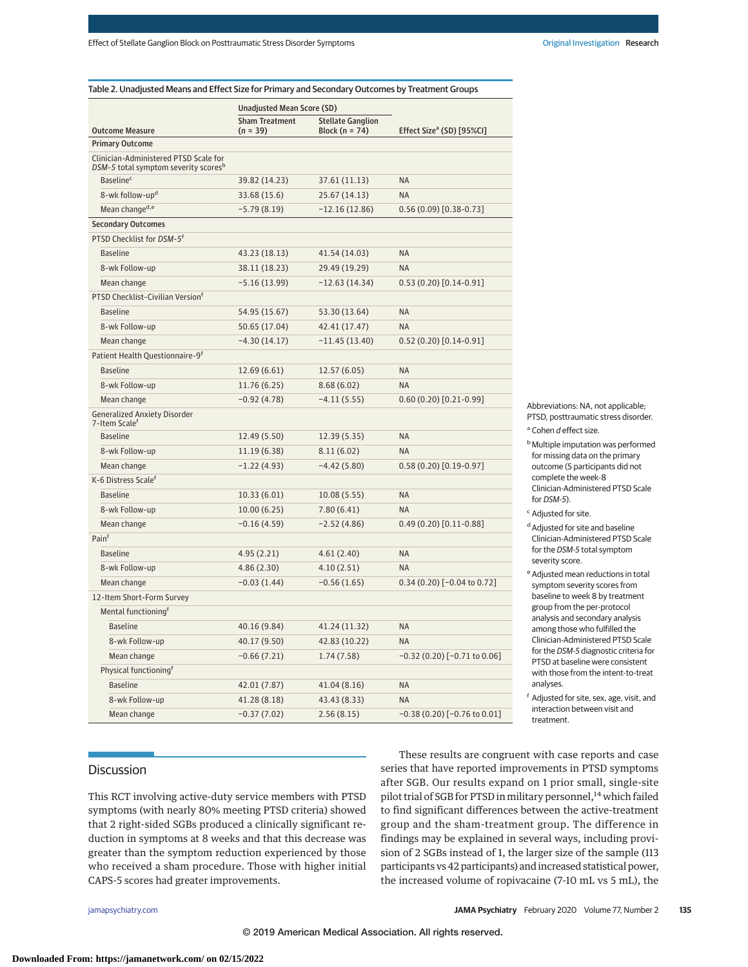| Table 2. Unadjusted Means and Effect Size for Primary and Secondary Outcomes by Treatment Groups |
|--------------------------------------------------------------------------------------------------|
|                                                                                                  |

|                                                                                           | Unadjusted Mean Score (SD)          |                                                |                                       |
|-------------------------------------------------------------------------------------------|-------------------------------------|------------------------------------------------|---------------------------------------|
| <b>Outcome Measure</b>                                                                    | <b>Sham Treatment</b><br>$(n = 39)$ | <b>Stellate Ganglion</b><br>Block ( $n = 74$ ) | Effect Size <sup>a</sup> (SD) [95%CI] |
| <b>Primary Outcome</b>                                                                    |                                     |                                                |                                       |
| Clinician-Administered PTSD Scale for<br>DSM-5 total symptom severity scores <sup>b</sup> |                                     |                                                |                                       |
| <b>Baseline<sup>c</sup></b>                                                               | 39.82 (14.23)                       | 37.61 (11.13)                                  | <b>NA</b>                             |
| 8-wk follow-up <sup>d</sup>                                                               | 33.68 (15.6)                        | 25.67 (14.13)                                  | <b>NA</b>                             |
| Mean change <sup>d,e</sup>                                                                | $-5.79(8.19)$                       | $-12.16(12.86)$                                | $0.56(0.09)[0.38-0.73]$               |
| <b>Secondary Outcomes</b>                                                                 |                                     |                                                |                                       |
| PTSD Checklist for DSM-5 <sup>f</sup>                                                     |                                     |                                                |                                       |
| <b>Baseline</b>                                                                           | 43.23 (18.13)                       | 41.54 (14.03)                                  | <b>NA</b>                             |
| 8-wk Follow-up                                                                            | 38.11 (18.23)                       | 29.49 (19.29)                                  | <b>NA</b>                             |
| Mean change                                                                               | $-5.16(13.99)$                      | $-12.63(14.34)$                                | $0.53(0.20)[0.14-0.91]$               |
| PTSD Checklist-Civilian Versionf                                                          |                                     |                                                |                                       |
| <b>Baseline</b>                                                                           | 54.95 (15.67)                       | 53.30 (13.64)                                  | <b>NA</b>                             |
| 8-wk Follow-up                                                                            | 50.65 (17.04)                       | 42.41 (17.47)                                  | <b>NA</b>                             |
| Mean change                                                                               | $-4.30(14.17)$                      | $-11.45(13.40)$                                | $0.52(0.20)[0.14-0.91]$               |
| Patient Health Questionnaire-9 <sup>t</sup>                                               |                                     |                                                |                                       |
| <b>Baseline</b>                                                                           | 12.69(6.61)                         | 12.57 (6.05)                                   | <b>NA</b>                             |
| 8-wk Follow-up                                                                            | 11.76 (6.25)                        | 8.68(6.02)                                     | <b>NA</b>                             |
| Mean change                                                                               | $-0.92(4.78)$                       | $-4.11(5.55)$                                  | $0.60(0.20)[0.21-0.99]$               |
| <b>Generalized Anxiety Disorder</b><br>7-Item Scale <sup>f</sup>                          |                                     |                                                |                                       |
| <b>Baseline</b>                                                                           | 12.49 (5.50)                        | 12.39 (5.35)                                   | <b>NA</b>                             |
| 8-wk Follow-up                                                                            | 11.19(6.38)                         | 8.11(6.02)                                     | <b>NA</b>                             |
| Mean change                                                                               | $-1.22(4.93)$                       | $-4.42(5.80)$                                  | $0.58(0.20)[0.19-0.97]$               |
| K-6 Distress Scale <sup>f</sup>                                                           |                                     |                                                |                                       |
| <b>Baseline</b>                                                                           | 10.33(6.01)                         | 10.08(5.55)                                    | <b>NA</b>                             |
| 8-wk Follow-up                                                                            | 10.00(6.25)                         | 7.80(6.41)                                     | <b>NA</b>                             |
| Mean change                                                                               | $-0.16(4.59)$                       | $-2.52(4.86)$                                  | $0.49(0.20)[0.11-0.88]$               |
| Painf                                                                                     |                                     |                                                |                                       |
| <b>Baseline</b>                                                                           | 4.95(2.21)                          | 4.61(2.40)                                     | <b>NA</b>                             |
| 8-wk Follow-up                                                                            | 4.86(2.30)                          | 4.10(2.51)                                     | <b>NA</b>                             |
| Mean change                                                                               | $-0.03(1.44)$                       | $-0.56(1.65)$                                  | $0.34(0.20)$ [-0.04 to 0.72]          |
| 12-Item Short-Form Survey                                                                 |                                     |                                                |                                       |
| Mental functioning <sup>†</sup>                                                           |                                     |                                                |                                       |
| <b>Baseline</b>                                                                           | 40.16 (9.84)                        | 41.24 (11.32)                                  | <b>NA</b>                             |
| 8-wk Follow-up                                                                            | 40.17 (9.50)                        | 42.83 (10.22)                                  | <b>NA</b>                             |
| Mean change                                                                               | $-0.66(7.21)$                       | 1.74(7.58)                                     | $-0.32(0.20)$ [ $-0.71$ to $0.06$ ]   |
| Physical functioning <sup>f</sup>                                                         |                                     |                                                |                                       |
| <b>Baseline</b>                                                                           | 42.01 (7.87)                        | 41.04 (8.16)                                   | <b>NA</b>                             |
| 8-wk Follow-up                                                                            | 41.28 (8.18)                        | 43.43 (8.33)                                   | <b>NA</b>                             |
| Mean change                                                                               | $-0.37(7.02)$                       | 2.56(8.15)                                     | $-0.38(0.20)$ [ $-0.76$ to $0.01$ ]   |

Abbreviations: NA, not applicable; PTSD, posttraumatic stress disorder.

- <sup>a</sup> Cohen *d* effect size.
- **b** Multiple imputation was performed for missing data on the primary outcome (5 participants did not complete the week-8 Clinician-Administered PTSD Scale for DSM-5).
- <sup>c</sup> Adjusted for site.
- <sup>d</sup> Adjusted for site and baseline Clinician-Administered PTSD Scale for the DSM-5 total symptom severity score.
- <sup>e</sup> Adjusted mean reductions in total symptom severity scores from baseline to week 8 by treatment group from the per-protocol analysis and secondary analysis among those who fulfilled the Clinician-Administered PTSD Scale for the DSM-5 diagnostic criteria for PTSD at baseline were consistent with those from the intent-to-treat analyses.

<sup>f</sup> Adjusted for site, sex, age, visit, and interaction between visit and treatment.

# **Discussion**

This RCT involving active-duty service members with PTSD symptoms (with nearly 80% meeting PTSD criteria) showed that 2 right-sided SGBs produced a clinically significant reduction in symptoms at 8 weeks and that this decrease was greater than the symptom reduction experienced by those who received a sham procedure. Those with higher initial CAPS-5 scores had greater improvements.

These results are congruent with case reports and case series that have reported improvements in PTSD symptoms after SGB. Our results expand on 1 prior small, single-site pilot trial of SGB for PTSD in military personnel,<sup>14</sup> which failed to find significant differences between the active-treatment group and the sham-treatment group. The difference in findings may be explained in several ways, including provision of 2 SGBs instead of 1, the larger size of the sample (113 participants vs 42 participants) and increased statistical power, the increased volume of ropivacaine (7-10 mL vs 5 mL), the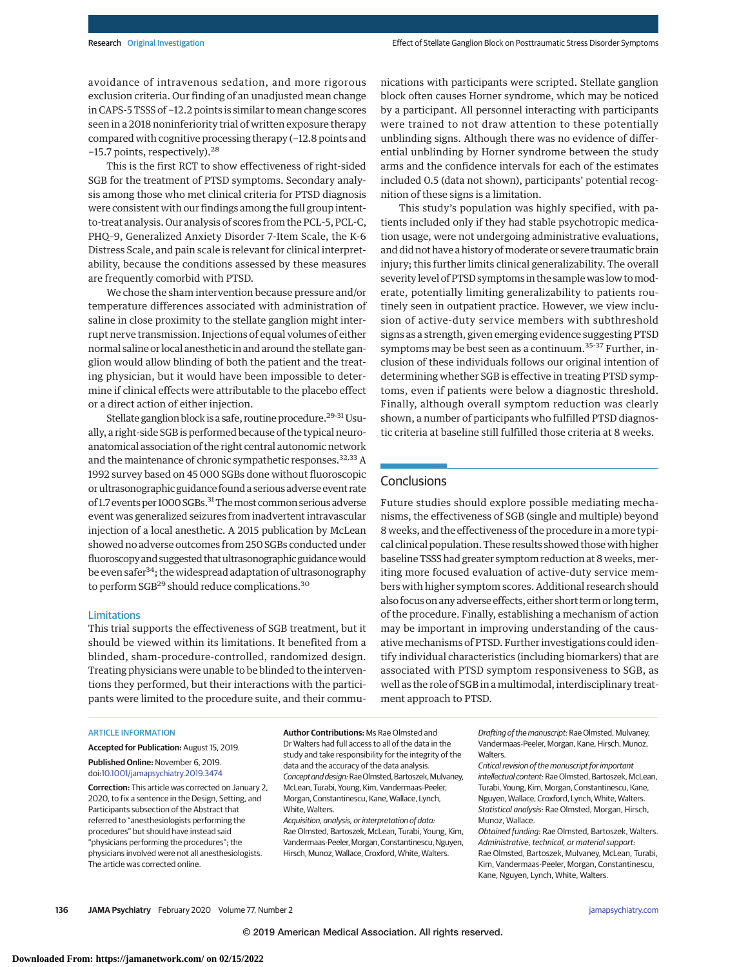avoidance of intravenous sedation, and more rigorous exclusion criteria. Our finding of an unadjusted mean change in CAPS-5 TSSS of −12.2 points is similar tomean change scores seen in a 2018 noninferiority trial of written exposure therapy compared with cognitive processing therapy (−12.8 points and −15.7 points, respectively).<sup>28</sup>

This is the first RCT to show effectiveness of right-sided SGB for the treatment of PTSD symptoms. Secondary analysis among those who met clinical criteria for PTSD diagnosis were consistent with our findings among the full group intentto-treat analysis. Our analysis of scores from the PCL-5, PCL-C, PHQ–9, Generalized Anxiety Disorder 7-Item Scale, the K-6 Distress Scale, and pain scale is relevant for clinical interpretability, because the conditions assessed by these measures are frequently comorbid with PTSD.

We chose the sham intervention because pressure and/or temperature differences associated with administration of saline in close proximity to the stellate ganglion might interrupt nerve transmission. Injections of equal volumes of either normal saline or local anesthetic in and around the stellate ganglion would allow blinding of both the patient and the treating physician, but it would have been impossible to determine if clinical effects were attributable to the placebo effect or a direct action of either injection.

Stellate ganglion block is a safe, routine procedure.<sup>29-31</sup> Usually, a right-side SGB is performed because of the typical neuroanatomical association of the right central autonomic network and the maintenance of chronic sympathetic responses.<sup>32,33</sup> A 1992 survey based on 45 000 SGBs done without fluoroscopic or ultrasonographic guidance found a serious adverse event rate of 1.7 events per 1000 SGBs.<sup>31</sup> The most common serious adverse event was generalized seizures from inadvertent intravascular injection of a local anesthetic. A 2015 publication by McLean showed no adverse outcomes from 250 SGBs conducted under fluoroscopy and suggested that ultrasonographic guidance would be even safer<sup>34</sup>; the widespread adaptation of ultrasonography to perform SGB<sup>29</sup> should reduce complications.<sup>30</sup>

#### Limitations

This trial supports the effectiveness of SGB treatment, but it should be viewed within its limitations. It benefited from a blinded, sham-procedure-controlled, randomized design. Treating physicians were unable to be blinded to the interventions they performed, but their interactions with the participants were limited to the procedure suite, and their commu-

# ARTICLE INFORMATION

**Accepted for Publication:** August 15, 2019. **Published Online:** November 6, 2019. doi[:10.1001/jamapsychiatry.2019.3474](https://jamanetwork.com/journals/jama/fullarticle/10.1001/jamapsychiatry.2019.3474?utm_campaign=articlePDF%26utm_medium=articlePDFlink%26utm_source=articlePDF%26utm_content=jamapsychiatry.2019.3474)

**Correction:** This article was corrected on January 2, 2020, to fix a sentence in the Design, Setting, and Participants subsection of the Abstract that referred to "anesthesiologists performing the procedures" but should have instead said "physicians performing the procedures"; the physicians involved were not all anesthesiologists. The article was corrected online.

**Author Contributions:** Ms Rae Olmsted and Dr Walters had full access to all of the data in the study and take responsibility for the integrity of the data and the accuracy of the data analysis. Concept and design: Rae Olmsted, Bartoszek, Mulvaney, McLean, Turabi, Young, Kim, Vandermaas-Peeler, Morgan, Constantinescu, Kane, Wallace, Lynch, White, Walters.

Acquisition, analysis, or interpretation of data: Rae Olmsted, Bartoszek, McLean, Turabi, Young, Kim, Vandermaas-Peeler, Morgan, Constantinescu, Nguyen, Hirsch, Munoz, Wallace, Croxford, White, Walters.

nications with participants were scripted. Stellate ganglion block often causes Horner syndrome, which may be noticed by a participant. All personnel interacting with participants were trained to not draw attention to these potentially unblinding signs. Although there was no evidence of differential unblinding by Horner syndrome between the study arms and the confidence intervals for each of the estimates included 0.5 (data not shown), participants' potential recognition of these signs is a limitation.

This study's population was highly specified, with patients included only if they had stable psychotropic medication usage, were not undergoing administrative evaluations, and did not have a history of moderate or severe traumatic brain injury; this further limits clinical generalizability. The overall severity level of PTSD symptoms in the sample was low to moderate, potentially limiting generalizability to patients routinely seen in outpatient practice. However, we view inclusion of active-duty service members with subthreshold signs as a strength, given emerging evidence suggesting PTSD symptoms may be best seen as a continuum.<sup>35-37</sup> Further, inclusion of these individuals follows our original intention of determining whether SGB is effective in treating PTSD symptoms, even if patients were below a diagnostic threshold. Finally, although overall symptom reduction was clearly shown, a number of participants who fulfilled PTSD diagnostic criteria at baseline still fulfilled those criteria at 8 weeks.

# **Conclusions**

Future studies should explore possible mediating mechanisms, the effectiveness of SGB (single and multiple) beyond 8 weeks, and the effectiveness of the procedure in a more typical clinical population. These results showed those with higher baseline TSSS had greater symptom reduction at 8 weeks, meriting more focused evaluation of active-duty service members with higher symptom scores. Additional research should also focus on any adverse effects, either short term or long term, of the procedure. Finally, establishing a mechanism of action may be important in improving understanding of the causative mechanisms of PTSD. Further investigations could identify individual characteristics (including biomarkers) that are associated with PTSD symptom responsiveness to SGB, as well as the role of SGB in a multimodal, interdisciplinary treatment approach to PTSD.

> Drafting of the manuscript: Rae Olmsted, Mulvaney, Vandermaas-Peeler, Morgan, Kane, Hirsch, Munoz, Walters.

Critical revision of the manuscript for important intellectual content: Rae Olmsted, Bartoszek, McLean, Turabi, Young, Kim, Morgan, Constantinescu, Kane, Nguyen, Wallace, Croxford, Lynch, White, Walters. Statistical analysis: Rae Olmsted, Morgan, Hirsch, Munoz, Wallace.

Obtained funding: Rae Olmsted, Bartoszek, Walters. Administrative, technical, or material support: Rae Olmsted, Bartoszek, Mulvaney, McLean, Turabi, Kim, Vandermaas-Peeler, Morgan, Constantinescu, Kane, Nguyen, Lynch, White, Walters.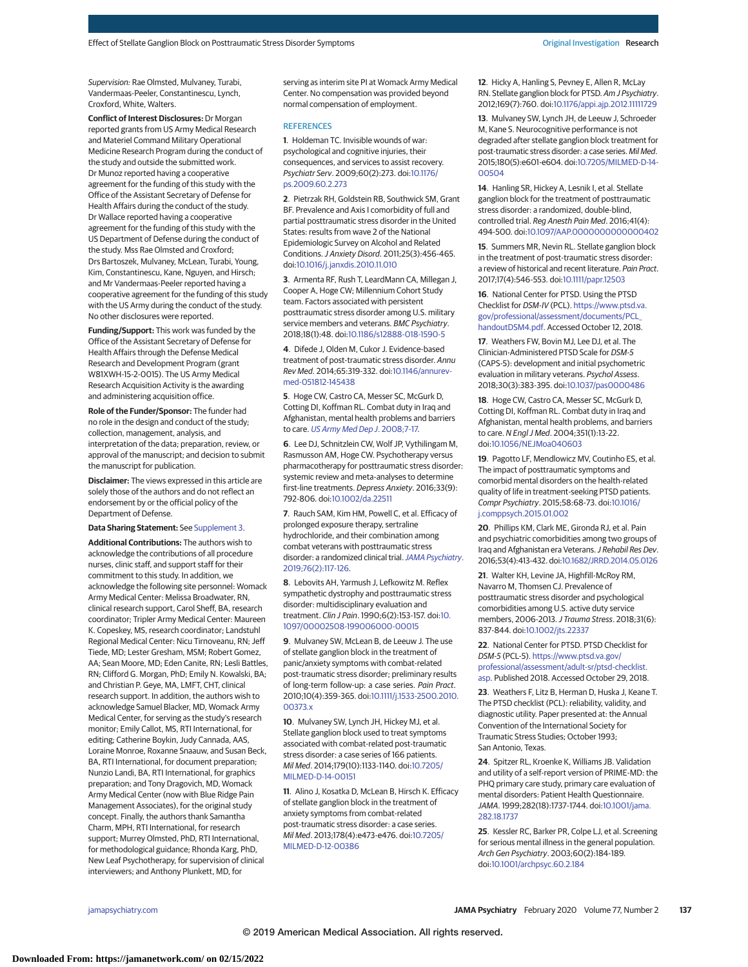Supervision: Rae Olmsted, Mulvaney, Turabi, Vandermaas-Peeler, Constantinescu, Lynch, Croxford, White, Walters.

**Conflict of Interest Disclosures:** Dr Morgan reported grants from US Army Medical Research and Materiel Command Military Operational Medicine Research Program during the conduct of the study and outside the submitted work. Dr Munoz reported having a cooperative agreement for the funding of this study with the Office of the Assistant Secretary of Defense for Health Affairs during the conduct of the study. Dr Wallace reported having a cooperative agreement for the funding of this study with the US Department of Defense during the conduct of the study. Mss Rae Olmsted and Croxford; Drs Bartoszek, Mulvaney, McLean, Turabi, Young, Kim, Constantinescu, Kane, Nguyen, and Hirsch; and Mr Vandermaas-Peeler reported having a cooperative agreement for the funding of this study with the US Army during the conduct of the study. No other disclosures were reported.

**Funding/Support:** This work was funded by the Office of the Assistant Secretary of Defense for Health Affairs through the Defense Medical Research and Development Program (grant W81XWH-15-2-0015). The US Army Medical Research Acquisition Activity is the awarding and administering acquisition office.

**Role of the Funder/Sponsor:** The funder had no role in the design and conduct of the study; collection, management, analysis, and interpretation of the data; preparation, review, or approval of the manuscript; and decision to submit the manuscript for publication.

**Disclaimer:** The views expressed in this article are solely those of the authors and do not reflect an endorsement by or the official policy of the Department of Defense.

#### **Data Sharing Statement:** See [Supplement 3.](https://jamanetwork.com/journals/jama/fullarticle/10.1001/jamapsychiatry.2019.3474?utm_campaign=articlePDF%26utm_medium=articlePDFlink%26utm_source=articlePDF%26utm_content=jamapsychiatry.2019.3474)

**Additional Contributions:** The authors wish to acknowledge the contributions of all procedure nurses, clinic staff, and support staff for their commitment to this study. In addition, we acknowledge the following site personnel: Womack Army Medical Center: Melissa Broadwater, RN, clinical research support, Carol Sheff, BA, research coordinator; Tripler Army Medical Center: Maureen K. Copeskey, MS, research coordinator; Landstuhl Regional Medical Center: Nicu Tirnoveanu, RN; Jeff Tiede, MD; Lester Gresham, MSM; Robert Gomez, AA; Sean Moore, MD; Eden Canite, RN; Lesli Battles, RN; Clifford G. Morgan, PhD; Emily N. Kowalski, BA; and Christian P. Geye, MA, LMFT, CHT, clinical research support. In addition, the authors wish to acknowledge Samuel Blacker, MD, Womack Army Medical Center, for serving as the study's research monitor; Emily Callot, MS, RTI International, for editing; Catherine Boykin, Judy Cannada, AAS, Loraine Monroe, Roxanne Snaauw, and Susan Beck, BA, RTI International, for document preparation; Nunzio Landi, BA, RTI International, for graphics preparation; and Tony Dragovich, MD, Womack Army Medical Center (now with Blue Ridge Pain Management Associates), for the original study concept. Finally, the authors thank Samantha Charm, MPH, RTI International, for research support; Murrey Olmsted, PhD, RTI International, for methodological guidance; Rhonda Karg, PhD, New Leaf Psychotherapy, for supervision of clinical interviewers; and Anthony Plunkett, MD, for

serving as interim site PI at Womack Army Medical Center. No compensation was provided beyond normal compensation of employment.

## **REFERENCES**

**1**. Holdeman TC. Invisible wounds of war: psychological and cognitive injuries, their consequences, and services to assist recovery. Psychiatr Serv. 2009;60(2):273. doi[:10.1176/](https://dx.doi.org/10.1176/ps.2009.60.2.273) [ps.2009.60.2.273](https://dx.doi.org/10.1176/ps.2009.60.2.273)

**2**. Pietrzak RH, Goldstein RB, Southwick SM, Grant BF. Prevalence and Axis I comorbidity of full and partial posttraumatic stress disorder in the United States: results from wave 2 of the National Epidemiologic Survey on Alcohol and Related Conditions.J Anxiety Disord. 2011;25(3):456-465. doi[:10.1016/j.janxdis.2010.11.010](https://dx.doi.org/10.1016/j.janxdis.2010.11.010)

**3**. Armenta RF, Rush T, LeardMann CA, Millegan J, Cooper A, Hoge CW; Millennium Cohort Study team. Factors associated with persistent posttraumatic stress disorder among U.S. military service members and veterans. BMC Psychiatry. 2018;18(1):48. doi[:10.1186/s12888-018-1590-5](https://dx.doi.org/10.1186/s12888-018-1590-5)

**4**. Difede J, Olden M, Cukor J. Evidence-based treatment of post-traumatic stress disorder. Annu Rev Med. 2014;65:319-332. doi[:10.1146/annurev](https://dx.doi.org/10.1146/annurev-med-051812-145438)[med-051812-145438](https://dx.doi.org/10.1146/annurev-med-051812-145438)

**5**. Hoge CW, Castro CA, Messer SC, McGurk D, Cotting DI, Koffman RL. Combat duty in Iraq and Afghanistan, mental health problems and barriers to care. [US Army Med Dep J](https://www.ncbi.nlm.nih.gov/pubmed/20088060). 2008;7-17.

**6**. Lee DJ, Schnitzlein CW, Wolf JP, Vythilingam M, Rasmusson AM, Hoge CW. Psychotherapy versus pharmacotherapy for posttraumatic stress disorder: systemic review and meta-analyses to determine first-line treatments. Depress Anxiety. 2016;33(9): 792-806. doi[:10.1002/da.22511](https://dx.doi.org/10.1002/da.22511)

**7**. Rauch SAM, Kim HM, Powell C, et al. Efficacy of prolonged exposure therapy, sertraline hydrochloride, and their combination among combat veterans with posttraumatic stress disorder: a randomized clinical trial. [JAMA Psychiatry](https://www.ncbi.nlm.nih.gov/pubmed/30516797). [2019;76\(2\):117-126.](https://www.ncbi.nlm.nih.gov/pubmed/30516797)

**8**. Lebovits AH, Yarmush J, Lefkowitz M. Reflex sympathetic dystrophy and posttraumatic stress disorder: multidisciplinary evaluation and treatment. Clin J Pain. 1990;6(2):153-157. doi[:10.](https://dx.doi.org/10.1097/00002508-199006000-00015) [1097/00002508-199006000-00015](https://dx.doi.org/10.1097/00002508-199006000-00015)

**9**. Mulvaney SW, McLean B, de Leeuw J. The use of stellate ganglion block in the treatment of panic/anxiety symptoms with combat-related post-traumatic stress disorder; preliminary results of long-term follow-up: a case series. Pain Pract. 2010;10(4):359-365. doi[:10.1111/j.1533-2500.2010.](https://dx.doi.org/10.1111/j.1533-2500.2010.00373.x) [00373.x](https://dx.doi.org/10.1111/j.1533-2500.2010.00373.x)

**10**. Mulvaney SW, Lynch JH, Hickey MJ, et al. Stellate ganglion block used to treat symptoms associated with combat-related post-traumatic stress disorder: a case series of 166 patients. Mil Med. 2014;179(10):1133-1140. doi[:10.7205/](https://dx.doi.org/10.7205/MILMED-D-14-00151) [MILMED-D-14-00151](https://dx.doi.org/10.7205/MILMED-D-14-00151)

**11**. Alino J, Kosatka D, McLean B, Hirsch K. Efficacy of stellate ganglion block in the treatment of anxiety symptoms from combat-related post-traumatic stress disorder: a case series. Mil Med. 2013;178(4):e473-e476. doi[:10.7205/](https://dx.doi.org/10.7205/MILMED-D-12-00386) [MILMED-D-12-00386](https://dx.doi.org/10.7205/MILMED-D-12-00386)

**12**. Hicky A, Hanling S, Pevney E, Allen R, McLay RN. Stellate ganglion block for PTSD. Am J Psychiatry. 2012;169(7):760. doi[:10.1176/appi.ajp.2012.11111729](https://dx.doi.org/10.1176/appi.ajp.2012.11111729)

**13**. Mulvaney SW, Lynch JH, de Leeuw J, Schroeder M, Kane S. Neurocognitive performance is not degraded after stellate ganglion block treatment for post-traumatic stress disorder: a case series. Mil Med. 2015;180(5):e601-e604. doi[:10.7205/MILMED-D-14-](https://dx.doi.org/10.7205/MILMED-D-14-00504) [00504](https://dx.doi.org/10.7205/MILMED-D-14-00504)

**14**. Hanling SR, Hickey A, Lesnik I, et al. Stellate ganglion block for the treatment of posttraumatic stress disorder: a randomized, double-blind, controlled trial. Reg Anesth Pain Med. 2016;41(4): 494-500. doi[:10.1097/AAP.0000000000000402](https://dx.doi.org/10.1097/AAP.0000000000000402)

**15**. Summers MR, Nevin RL. Stellate ganglion block in the treatment of post-traumatic stress disorder: a review of historical and recent literature. Pain Pract. 2017;17(4):546-553. doi[:10.1111/papr.12503](https://dx.doi.org/10.1111/papr.12503)

**16**. National Center for PTSD. Using the PTSD Checklist for DSM-IV (PCL). [https://www.ptsd.va.](https://www.ptsd.va.gov/professional/assessment/documents/PCL_handoutDSM4.pdf) [gov/professional/assessment/documents/PCL\\_](https://www.ptsd.va.gov/professional/assessment/documents/PCL_handoutDSM4.pdf) [handoutDSM4.pdf.](https://www.ptsd.va.gov/professional/assessment/documents/PCL_handoutDSM4.pdf) Accessed October 12, 2018.

**17**. Weathers FW, Bovin MJ, Lee DJ, et al. The Clinician-Administered PTSD Scale for DSM-5 (CAPS-5): development and initial psychometric evaluation in military veterans. Psychol Assess. 2018;30(3):383-395. doi[:10.1037/pas0000486](https://dx.doi.org/10.1037/pas0000486)

**18**. Hoge CW, Castro CA, Messer SC, McGurk D, Cotting DI, Koffman RL. Combat duty in Iraq and Afghanistan, mental health problems, and barriers to care. N Engl J Med. 2004;351(1):13-22. doi[:10.1056/NEJMoa040603](https://dx.doi.org/10.1056/NEJMoa040603)

**19**. Pagotto LF, Mendlowicz MV, Coutinho ES, et al. The impact of posttraumatic symptoms and comorbid mental disorders on the health-related quality of life in treatment-seeking PTSD patients. Compr Psychiatry. 2015;58:68-73. doi[:10.1016/](https://dx.doi.org/10.1016/j.comppsych.2015.01.002) [j.comppsych.2015.01.002](https://dx.doi.org/10.1016/j.comppsych.2015.01.002)

**20**. Phillips KM, Clark ME, Gironda RJ, et al. Pain and psychiatric comorbidities among two groups of Iraq and Afghanistan era Veterans. J Rehabil Res Dev. 2016;53(4):413-432. doi[:10.1682/JRRD.2014.05.0126](https://dx.doi.org/10.1682/JRRD.2014.05.0126)

**21**. Walter KH, Levine JA, Highfill-McRoy RM, Navarro M, Thomsen CJ. Prevalence of posttraumatic stress disorder and psychological comorbidities among U.S. active duty service members, 2006-2013.J Trauma Stress. 2018;31(6): 837-844. doi[:10.1002/jts.22337](https://dx.doi.org/10.1002/jts.22337)

**22**. National Center for PTSD. PTSD Checklist for DSM-5 (PCL-5). [https://www.ptsd.va.gov/](https://www.ptsd.va.gov/professional/assessment/adult-sr/ptsd-checklist.asp) [professional/assessment/adult-sr/ptsd-checklist.](https://www.ptsd.va.gov/professional/assessment/adult-sr/ptsd-checklist.asp) [asp.](https://www.ptsd.va.gov/professional/assessment/adult-sr/ptsd-checklist.asp) Published 2018. Accessed October 29, 2018.

**23**. Weathers F, Litz B, Herman D, Huska J, Keane T. The PTSD checklist (PCL): reliability, validity, and diagnostic utility. Paper presented at: the Annual Convention of the International Society for Traumatic Stress Studies; October 1993; San Antonio, Texas.

**24**. Spitzer RL, Kroenke K, Williams JB. Validation and utility of a self-report version of PRIME-MD: the PHQ primary care study, primary care evaluation of mental disorders: Patient Health Questionnaire. JAMA. 1999;282(18):1737-1744. doi[:10.1001/jama.](https://jamanetwork.com/journals/jama/fullarticle/10.1001/jama.282.18.1737?utm_campaign=articlePDF%26utm_medium=articlePDFlink%26utm_source=articlePDF%26utm_content=jamapsychiatry.2019.3474) [282.18.1737](https://jamanetwork.com/journals/jama/fullarticle/10.1001/jama.282.18.1737?utm_campaign=articlePDF%26utm_medium=articlePDFlink%26utm_source=articlePDF%26utm_content=jamapsychiatry.2019.3474)

**25**. Kessler RC, Barker PR, Colpe LJ, et al. Screening for serious mental illness in the general population. Arch Gen Psychiatry. 2003;60(2):184-189. doi[:10.1001/archpsyc.60.2.184](https://jamanetwork.com/journals/jama/fullarticle/10.1001/archpsyc.60.2.184?utm_campaign=articlePDF%26utm_medium=articlePDFlink%26utm_source=articlePDF%26utm_content=jamapsychiatry.2019.3474)